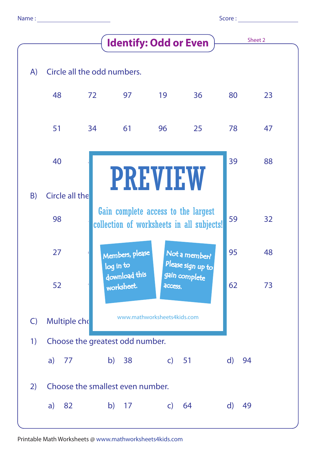| Score: |
|--------|
|--------|

|              | <b>Identify: Odd or Even</b>     |                                                                                  |                              |              |                                    |    | Sheet 2 |    |  |
|--------------|----------------------------------|----------------------------------------------------------------------------------|------------------------------|--------------|------------------------------------|----|---------|----|--|
| A)           | Circle all the odd numbers.      |                                                                                  |                              |              |                                    |    |         |    |  |
|              | 48                               | 72                                                                               | 97                           | 19           | 36                                 | 80 |         | 23 |  |
|              | 51                               | 34                                                                               | 61                           | 96           | 25                                 | 78 |         | 47 |  |
|              | 40                               |                                                                                  | <b>PREVIEW</b>               |              |                                    | 39 |         | 88 |  |
| B)           | Circle all the                   |                                                                                  |                              |              |                                    |    |         |    |  |
|              | 98                               | Gain complete access to the largest<br>collection of worksheets in all subjects! |                              |              |                                    |    |         | 32 |  |
|              | 27                               |                                                                                  | Members, please<br>log in to |              | Not a member?<br>Please sign up to | 95 |         | 48 |  |
|              | 52                               |                                                                                  | download this<br>worksheet.  | access.      | gain complete                      | 62 |         | 73 |  |
| $\mathsf{C}$ | Multiple cho                     |                                                                                  | www.mathworksheets4kids.com  |              |                                    |    |         |    |  |
| 1)           | Choose the greatest odd number.  |                                                                                  |                              |              |                                    |    |         |    |  |
|              | a)<br>77                         | b)                                                                               | 38                           | $c)$ 51      |                                    | d) | 94      |    |  |
| 2)           | Choose the smallest even number. |                                                                                  |                              |              |                                    |    |         |    |  |
|              | 82<br>a)                         |                                                                                  | $b)$ 17                      | $\mathsf{C}$ | 64                                 | d) | 49      |    |  |